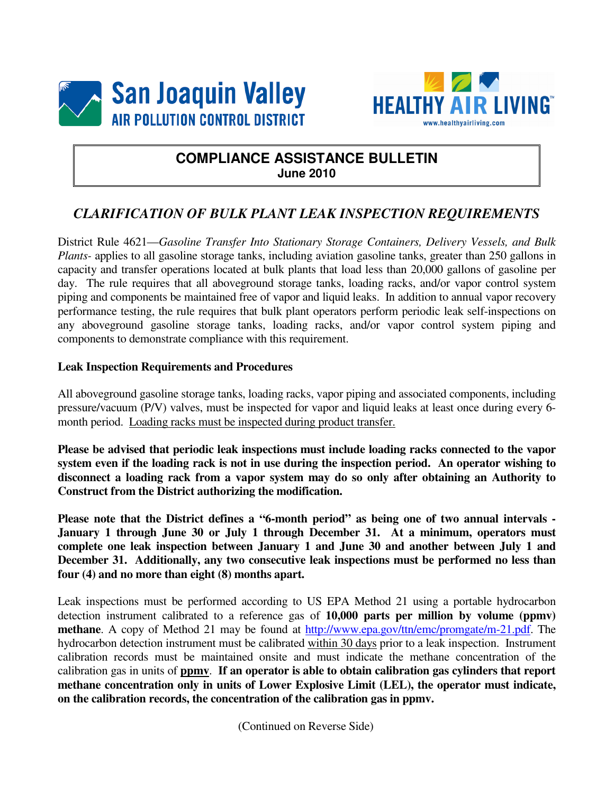



#### **COMPLIANCE ASSISTANCE BULLETIN June 2010**

#### *CLARIFICATION OF BULK PLANT LEAK INSPECTION REQUIREMENTS*

District Rule 4621—*Gasoline Transfer Into Stationary Storage Containers, Delivery Vessels, and Bulk Plants-* applies to all gasoline storage tanks, including aviation gasoline tanks, greater than 250 gallons in capacity and transfer operations located at bulk plants that load less than 20,000 gallons of gasoline per day. The rule requires that all aboveground storage tanks, loading racks, and/or vapor control system piping and components be maintained free of vapor and liquid leaks. In addition to annual vapor recovery performance testing, the rule requires that bulk plant operators perform periodic leak self-inspections on any aboveground gasoline storage tanks, loading racks, and/or vapor control system piping and components to demonstrate compliance with this requirement.

#### **Leak Inspection Requirements and Procedures**

All aboveground gasoline storage tanks, loading racks, vapor piping and associated components, including pressure/vacuum (P/V) valves, must be inspected for vapor and liquid leaks at least once during every 6 month period. Loading racks must be inspected during product transfer.

**Please be advised that periodic leak inspections must include loading racks connected to the vapor system even if the loading rack is not in use during the inspection period. An operator wishing to disconnect a loading rack from a vapor system may do so only after obtaining an Authority to Construct from the District authorizing the modification.** 

**Please note that the District defines a "6-month period" as being one of two annual intervals - January 1 through June 30 or July 1 through December 31. At a minimum, operators must complete one leak inspection between January 1 and June 30 and another between July 1 and December 31. Additionally, any two consecutive leak inspections must be performed no less than four (4) and no more than eight (8) months apart.** 

Leak inspections must be performed according to US EPA Method 21 using a portable hydrocarbon detection instrument calibrated to a reference gas of **10,000 parts per million by volume (ppmv) methane**. A copy of Method 21 may be found at http://www.epa.gov/ttn/emc/promgate/m-21.pdf. The hydrocarbon detection instrument must be calibrated within 30 days prior to a leak inspection. Instrument calibration records must be maintained onsite and must indicate the methane concentration of the calibration gas in units of **ppmv**. **If an operator is able to obtain calibration gas cylinders that report methane concentration only in units of Lower Explosive Limit (LEL), the operator must indicate, on the calibration records, the concentration of the calibration gas in ppmv.** 

(Continued on Reverse Side)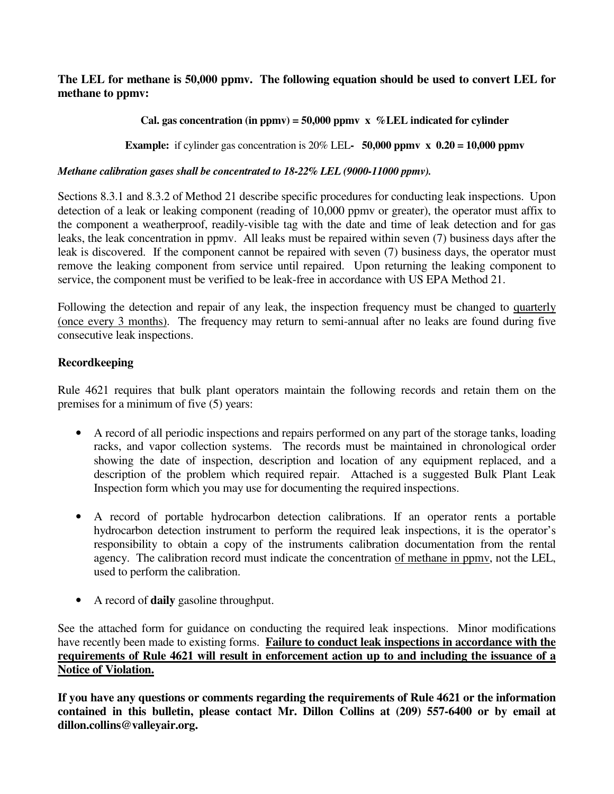#### **The LEL for methane is 50,000 ppmv. The following equation should be used to convert LEL for methane to ppmv:**

#### **Cal. gas concentration (in ppmv) = 50,000 ppmv x %LEL indicated for cylinder**

**Example:** if cylinder gas concentration is  $20\%$  LEL- 50,000 ppmv  $\times$  0.20 = 10,000 ppmv

#### *Methane calibration gases shall be concentrated to 18-22% LEL (9000-11000 ppmv).*

Sections 8.3.1 and 8.3.2 of Method 21 describe specific procedures for conducting leak inspections. Upon detection of a leak or leaking component (reading of 10,000 ppmv or greater), the operator must affix to the component a weatherproof, readily-visible tag with the date and time of leak detection and for gas leaks, the leak concentration in ppmv. All leaks must be repaired within seven (7) business days after the leak is discovered. If the component cannot be repaired with seven (7) business days, the operator must remove the leaking component from service until repaired. Upon returning the leaking component to service, the component must be verified to be leak-free in accordance with US EPA Method 21.

Following the detection and repair of any leak, the inspection frequency must be changed to quarterly (once every 3 months). The frequency may return to semi-annual after no leaks are found during five consecutive leak inspections.

#### **Recordkeeping**

Rule 4621 requires that bulk plant operators maintain the following records and retain them on the premises for a minimum of five (5) years:

- A record of all periodic inspections and repairs performed on any part of the storage tanks, loading racks, and vapor collection systems. The records must be maintained in chronological order showing the date of inspection, description and location of any equipment replaced, and a description of the problem which required repair. Attached is a suggested Bulk Plant Leak Inspection form which you may use for documenting the required inspections.
- A record of portable hydrocarbon detection calibrations. If an operator rents a portable hydrocarbon detection instrument to perform the required leak inspections, it is the operator's responsibility to obtain a copy of the instruments calibration documentation from the rental agency. The calibration record must indicate the concentration of methane in ppmv, not the LEL, used to perform the calibration.
- A record of **daily** gasoline throughput.

See the attached form for guidance on conducting the required leak inspections. Minor modifications have recently been made to existing forms. **Failure to conduct leak inspections in accordance with the requirements of Rule 4621 will result in enforcement action up to and including the issuance of a Notice of Violation.** 

**If you have any questions or comments regarding the requirements of Rule 4621 or the information contained in this bulletin, please contact Mr. Dillon Collins at (209) 557-6400 or by email at dillon.collins@valleyair.org.**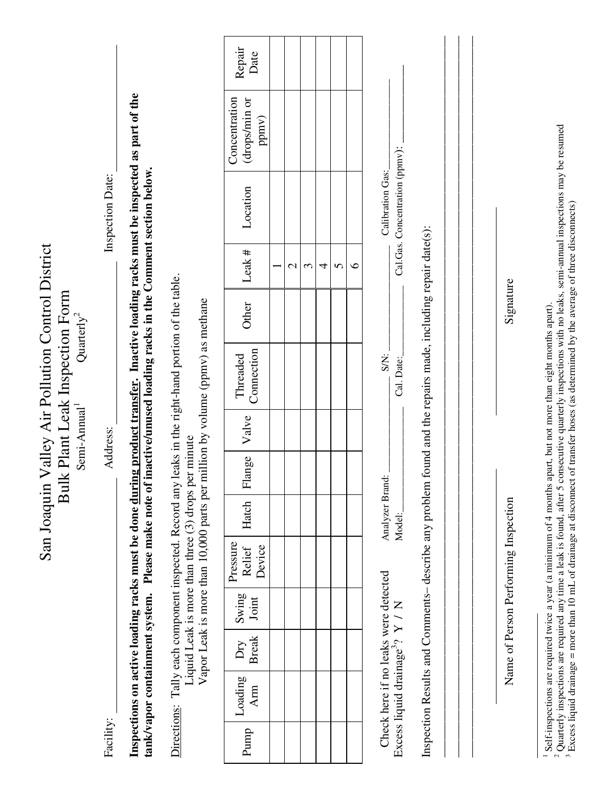| Inspections on active loading racks must be done during product transfer. Inactive loading racks must be inspected as part of the<br>Concentration<br>(drops/min or<br>ppmv)<br>Cal.Gas. Concentration (ppmv):<br>Please make note of inactive/unused loading racks in the Comment section below.<br>Calibration Gas:<br>Inspection Date:<br>Location<br>found and the repairs made, including repair date(s):<br>Valley Air Pollution Control District<br>Leak $#$<br>$\circ$<br>5<br>$\mathfrak{c}$<br>4<br>$\mathcal{C}$<br>Directions: Tally each component inspected. Record any leaks in the right-hand portion of the table.<br>Signature<br>Ik Plant Leak Inspection Form<br>million by volume (ppmv) as methane<br>Other<br>Quarterly <sup>2</sup><br>Connection<br>S/N:<br>Threaded<br>Cal. Date:<br>Semi-Annual <sup>1</sup><br>Valve<br>Address:<br>Liquid Leak is more than three (3) drops per minute<br>Flange<br>Analyzer Brand:<br>Inspection Results and Comments-describe any problem<br>San Joaquin<br>n<br>Bul<br>Vapor Leak is more than 10,000 parts per<br>Name of Person Performing Inspection<br>Hatch<br>Model:<br>Pressure<br>Device<br>Relief<br>Check here if no leaks were detected<br>tank/vapor containment system.<br>Swing<br>Joint<br>Excess liquid drainage <sup>3</sup> ? Y / N<br><b>Break</b><br>Dry<br>Loading<br>Arm<br>Facility:<br>Punnp |
|--------------------------------------------------------------------------------------------------------------------------------------------------------------------------------------------------------------------------------------------------------------------------------------------------------------------------------------------------------------------------------------------------------------------------------------------------------------------------------------------------------------------------------------------------------------------------------------------------------------------------------------------------------------------------------------------------------------------------------------------------------------------------------------------------------------------------------------------------------------------------------------------------------------------------------------------------------------------------------------------------------------------------------------------------------------------------------------------------------------------------------------------------------------------------------------------------------------------------------------------------------------------------------------------------------------------------------------------------------------------------------------|
|--------------------------------------------------------------------------------------------------------------------------------------------------------------------------------------------------------------------------------------------------------------------------------------------------------------------------------------------------------------------------------------------------------------------------------------------------------------------------------------------------------------------------------------------------------------------------------------------------------------------------------------------------------------------------------------------------------------------------------------------------------------------------------------------------------------------------------------------------------------------------------------------------------------------------------------------------------------------------------------------------------------------------------------------------------------------------------------------------------------------------------------------------------------------------------------------------------------------------------------------------------------------------------------------------------------------------------------------------------------------------------------|